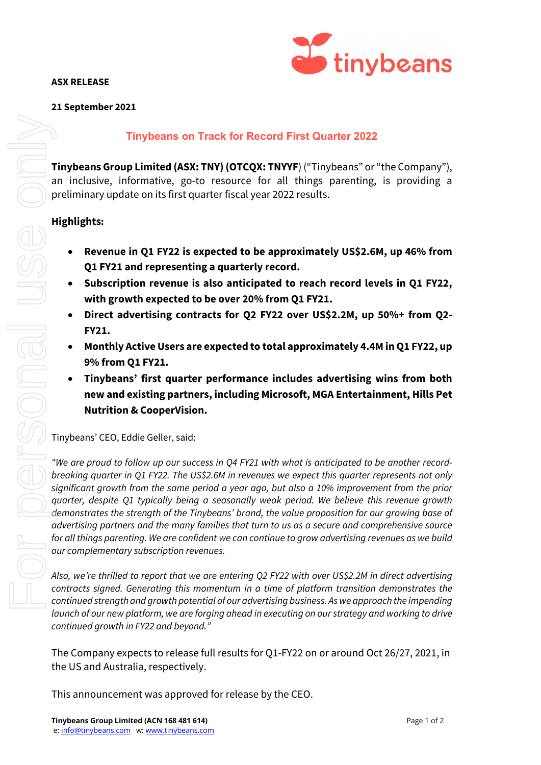## **ASX RELEASE**



## **21 September 2021**

# **Tinybeans on Track for Record First Quarter 2022**

**Tinybeans Group Limited (ASX: TNY) (OTCQX: TNYYF**) ("Tinybeans" or "the Company"), an inclusive, informative, go-to resource for all things parenting, is providing a preliminary update on its first quarter fiscal year 2022 results.

- **Revenue in Q1 FY22 is expected to be approximately US\$2.6M, up 46% from Q1 FY21 and representing a quarterly record.**
- **Subscription revenue is also anticipated to reach record levels in Q1 FY22, with growth expected to be over 20% from Q1 FY21.**
- **Direct advertising contracts for Q2 FY22 over US\$2.2M, up 50%+ from Q2- FY21.**
- **Monthly Active Users are expected to total approximately 4.4M inQ1 FY22, up 9% from Q1 FY21.**
- **Tinybeans' first quarter performance includes advertising wins from both new and existing partners, including Microsoft, MGA Entertainment, Hills Pet Nutrition & CooperVision.**

Tinybeans' CEO, Eddie Geller, said:

*"We are proud to follow up our success in Q4 FY21 with what is anticipated to be another recordbreaking quarter in Q1 FY22. The US\$2.6M in revenues we expect this quarter represents not only significant growth from the same period a year ago, but also a 10% improvement from the prior quarter, despite Q1 typically being a seasonally weak period. We believe this revenue growth demonstrates the strength of the Tinybeans' brand, the value proposition for our growing base of advertising partners and the many families that turn to us as a secure and comprehensive source for all things parenting. We are confident we can continue to grow advertising revenues as we build our complementary subscription revenues.* **This phenons on Track for Record First**<br>
Tinybeans **Group Limited (ASY: TNY) (OTCOX: TNYF)** ("<br>
an inclusive, informative, go-to resource for all thin<br>
preliminary update on its first quarter liscal year 2022 rest<br> **High** 

*Also, we're thrilled to report that we are entering Q2 FY22 with over US\$2.2M in direct advertising contracts signed. Generating this momentum in a time of platform transition demonstrates the continued strength and growth potential of our advertising business. As we approach the impending launch of our new platform, we are forging ahead in executing on our strategy and working to drive continued growth in FY22 and beyond."*

The Company expects to release full results for Q1-FY22 on or around Oct 26/27, 2021, in the US and Australia, respectively.